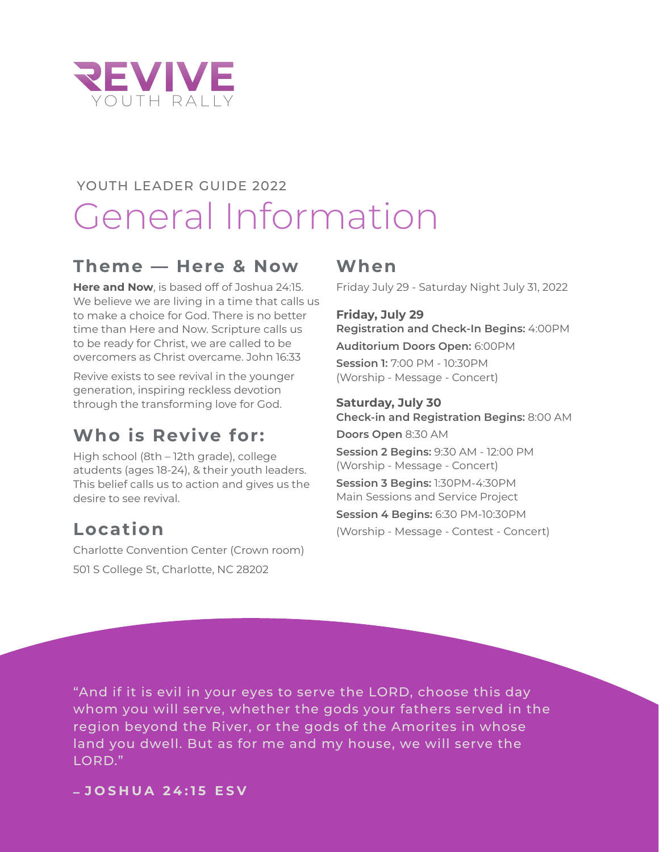

# YOUTH LEADER GUIDE 2022 General Information

### **Theme — Here & Now**

**Here and Now**, is based off of Joshua 24:15. We believe we are living in a time that calls us to make a choice for God. There is no better time than Here and Now. Scripture calls us to be ready for Christ, we are called to be overcomers as Christ overcame. John 16:33

Revive exists to see revival in the younger generation, inspiring reckless devotion through the transforming love for God.

### **Who is Revive for:**

High school (8th – 12th grade), college atudents (ages 18-24), & their youth leaders. This belief calls us to action and gives us the desire to see revival.

### **Location**

Charlotte Convention Center (Crown room) 501 S College St, Charlotte, NC 28202

### **When**

Friday July 29 - Saturday Night July 31, 2022

#### **Friday, July 29 Registration and Check-In Begins:** 4:00PM **Auditorium Doors Open:** 6:00PM **Session 1:** 7:00 PM - 10:30PM (Worship - Message - Concert)

#### **Saturday, July 30**

**Check-in and Registration Begins:** 8:00 AM **Doors Open** 8:30 AM

**Session 2 Begins:** 9:30 AM - 12:00 PM (Worship - Message - Concert)

**Session 3 Begins:** 1:30PM-4:30PM Main Sessions and Service Project **Session 4 Begins:** 6:30 PM-10:30PM

(Worship - Message - Contest - Concert)

"And if it is evil in your eyes to serve the LORD, choose this day whom you will serve, whether the gods your fathers served in the region beyond the River, or the gods of the Amorites in whose land you dwell. But as for me and my house, we will serve the LORD."

**– JOSHUA 24 :15 ESV**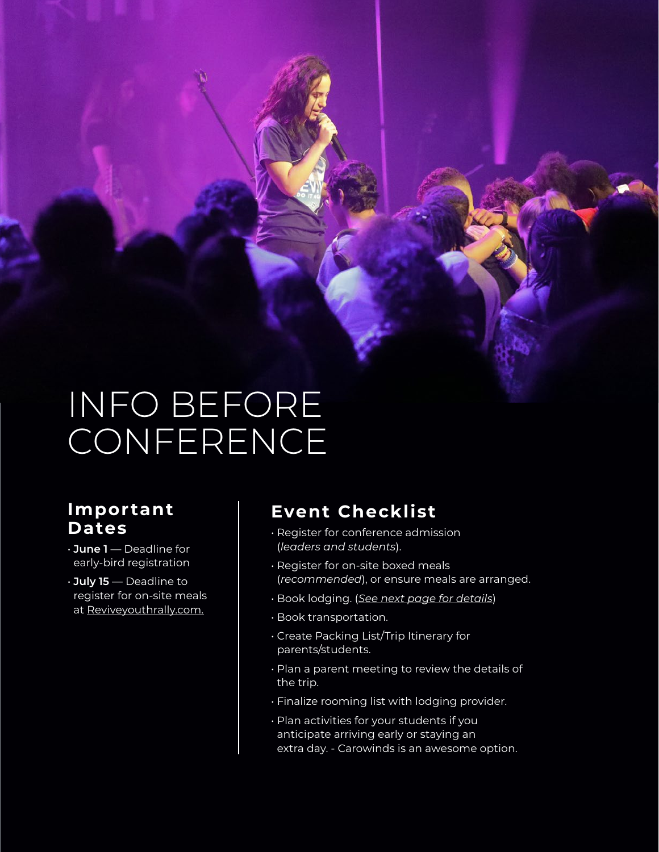# INFO BEFORE CONFERENCE

### **Important Dates**

- **June 1** Deadline for early-bird registration
- **July 15** Deadline to register for on-site meals at [Reviveyouthrally.com.](http://www.Reviveyouthrally.com)

### **Event Checklist**

- Register for conference admission (*leaders and students*).
- Register for on-site boxed meals (*recommended*), or ensure meals are arranged.
- Book lodging. (*[See next page for details](#page-2-0)*)
- Book transportation.
- Create Packing List/Trip Itinerary for parents/students.
- Plan a parent meeting to review the details of the trip.
- Finalize rooming list with lodging provider.
- Plan activities for your students if you anticipate arriving early or staying an extra day. - Carowinds is an awesome option.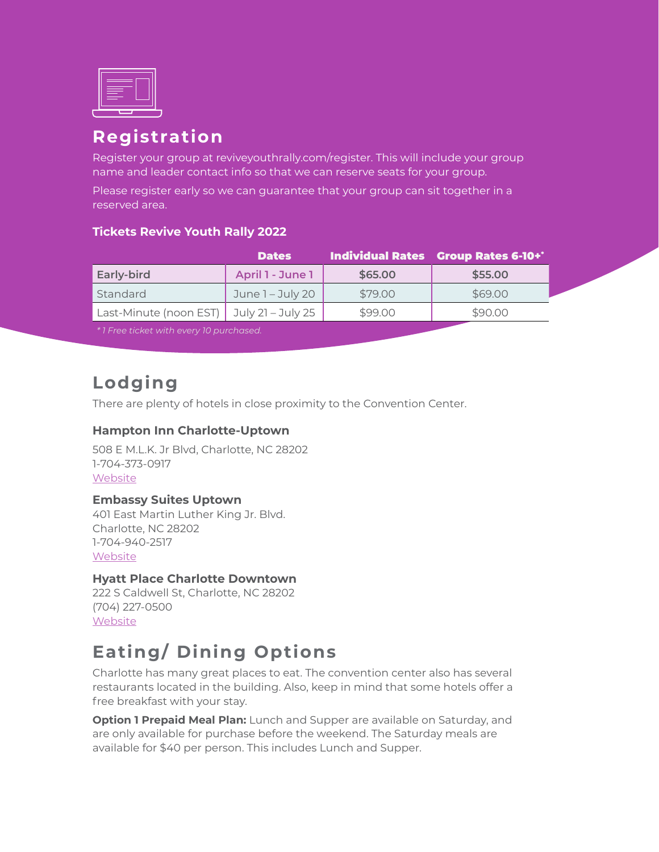<span id="page-2-0"></span>

### **Registration**

Register your group at reviveyouthrally.com/register. This will include your group name and leader contact info so that we can reserve seats for your group.

Please register early so we can guarantee that your group can sit together in a reserved area.

#### **Tickets Revive Youth Rally 2022**

|                        | <b>Dates</b>      |         | Individual Rates Group Rates 6-10+* |
|------------------------|-------------------|---------|-------------------------------------|
| <b>Early-bird</b>      | April 1 - June 1  | \$65.00 | \$55.00                             |
| Standard               | June 1 - July 20  | \$79.00 | \$69.00                             |
| Last-Minute (noon EST) | July 21 – July 25 | \$99.00 | \$90.00                             |
|                        |                   |         |                                     |

*\* 1 Free ticket with every 10 purchased.*

### **Lodging**

There are plenty of hotels in close proximity to the Convention Center.

#### **Hampton Inn Charlotte-Uptown**

508 E M.L.K. Jr Blvd, Charlotte, NC 28202 1-704-373-0917 **[Website](https://www.hilton.com/en/hotels/cltuthx-hampton-charlotte-uptown/)** 

#### **Embassy Suites Uptown**

401 East Martin Luther King Jr. Blvd. Charlotte, NC 28202 1-704-940-2517 **[Website](https://www.hilton.com/en/hotels/cltmles-embassy-suites-charlotte-uptown/)** 

#### **Hyatt Place Charlotte Downtown**

222 S Caldwell St, Charlotte, NC 28202 (704) 227-0500 [Website](https://www.hyatt.com/en-US/hotel/north-carolina/hyatt-place-charlotte-downtown/cltzu?src=corp_lclb_gmb_seo_nam_cltzu)

### **Eating/ Dining Options**

Charlotte has many great places to eat. The convention center also has several restaurants located in the building. Also, keep in mind that some hotels offer a free breakfast with your stay.

**Option 1 Prepaid Meal Plan:** Lunch and Supper are available on Saturday, and are only available for purchase before the weekend. The Saturday meals are available for \$40 per person. This includes Lunch and Supper.